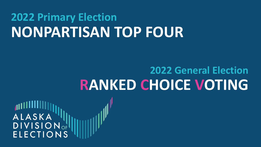# **2022 Primary Election NONPARTISAN TOP FOUR**

## **2022 General Election RANKED CHOICE VOTING**

ALASKA **DIVISION**<sub>OF</sub>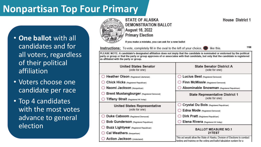## **Nonpartisan Top Four Primary**

• **One ballot** with all candidates and for all voters, regardless of their political affiliation

- Voters choose one candidate per race
- Top 4 candidates with the most votes advance to general election



#### **STATE OF ALASKA DEMONSTRATION BALLOT**

**August 16, 2022 Primary Election** 

If you make a mistake, you can ask for a new ballot

**Instructions:** To vote, completely fill in the oval to the left of your choice.

like this.

1100

**House District 1** 

PLEASE NOTE: A candidate's designated affiliation does not imply that the candidate is nominated or endorsed by the political party or group or that the party or group approves of or associates with that candidate, but only that the candidate is registered as affiliated with the party or group.

| <b>United States Senator</b><br>(vote for one)  | <b>State Senator District A</b><br>(vote for one)                                                                                                   |  |  |
|-------------------------------------------------|-----------------------------------------------------------------------------------------------------------------------------------------------------|--|--|
| Reather Olson (Registered Libertarian)          | Lucius Best (Registered Democrat)                                                                                                                   |  |  |
| Chick Hicks (Registered Republican)             | Finn McMissle (Registered Democrat)                                                                                                                 |  |  |
| ◯ Naomi Jackson (Nonpartisan)                   | Abominable Snowman (Registered Republican)                                                                                                          |  |  |
| Brent Mustangburger (Registered Democrat)       | <b>State Representative District 1</b>                                                                                                              |  |  |
| $\bigcirc$ Tiffany Strait (Registered AK Indep) | (vote for one)                                                                                                                                      |  |  |
| <b>United States Representative</b>             | Crystal Du Bois (Registered Republican)                                                                                                             |  |  |
| (vote for one)                                  | Edna Mode (Registered Democrat)                                                                                                                     |  |  |
| <b>Duke Caboom</b> (Registered Democrat)        | Dirk Pratt (Registered Republican)                                                                                                                  |  |  |
| Bob Gunderson (Registered Republican)           | Elena Rivera (Registered AK Indep)                                                                                                                  |  |  |
| Buzz Lightyear (Registered Republican)          | <b>BALLOT MEASURE NO.1</b>                                                                                                                          |  |  |
| Cal Weathers (Nonpartisan)                      | 21TEST                                                                                                                                              |  |  |
| Action Jackson (Undeclared)                     | This act would allow the State of Alaska, Division of Elections to conduct<br>testing and training on the voting and ballot tabulation system for a |  |  |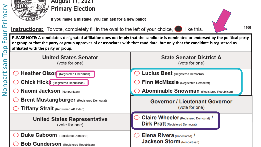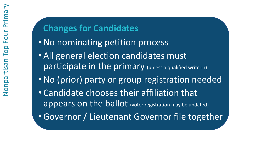## **Changes for Candidates**

- •No nominating petition process
- All general election candidates must participate in the primary (unless a qualified write-in)
- •No (prior) party or group registration needed
- Candidate chooses their affiliation that appears on the ballot (voter registration may be updated)
- •Governor / Lieutenant Governor file together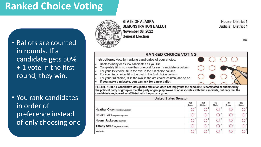## **Ranked Choice Voting**

• Ballots are counted in rounds. If a candidate gets 50% + 1 vote in the first round, they win.

• You rank candidates in order of preference instead of only choosing one



**STATE OF ALASKA DEMONSTRATION BALLOT November 08, 2022 General Election** 

**House District 1** Judicial District 4

#### **RANKED CHOICE VOTING Instructions:** Vote by ranking candidates of your choice. Rank as many or as few candidates as you like Completely fill in no more than one oval for each candidate or column For your 1st choice, fill in the oval in the 1st choice column For your 2nd choice, fill in the oval in the 2nd choice column For your 3rd choice, fill in the oval in the 3rd choice column, and so on If you make a mistake, you can ask for a new ballot  $\bullet$ PLEASE NOTE: A candidate's designated affiliation does not imply that the candidate is nominated or endorsed by the political party or group or that the party or group approves of or associates with that candidate, but only that the candidate is registered as affiliated with the party or group.

| <b>United States Senator</b>           |               |                           |               |                      |               |
|----------------------------------------|---------------|---------------------------|---------------|----------------------|---------------|
|                                        | 1st<br>Choice | 2 <sub>nd</sub><br>Choice | 3rd<br>Choice | <b>4th</b><br>Choice | 5th<br>Choice |
| Heather Olson (Registered Libertarian) |               |                           |               |                      |               |
| Chick Hicks (Registered Republican)    |               |                           |               |                      |               |
| Naomi Jackson (Nonpartisan)            |               |                           |               |                      |               |
| Tiffany Strait (Registered AK Indep)   |               |                           |               |                      |               |
| Write-in:                              |               |                           |               |                      |               |

1200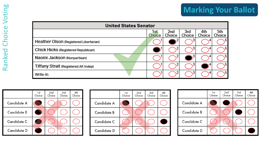| <b>United States Senator</b>           |                |                           |                      |                      |               |
|----------------------------------------|----------------|---------------------------|----------------------|----------------------|---------------|
|                                        | 1st.<br>Choice | 2 <sub>nd</sub><br>Choice | 3rd<br><b>Choice</b> | 4th<br><b>Choice</b> | 5th<br>Choice |
| Heather Olson (Registered Libertarian) |                |                           |                      |                      |               |
| Chick Hicks (Registered Republican)    |                |                           |                      |                      |               |
| Naomi Jackson (Nonpartisan)            |                |                           |                      |                      |               |
| Tiffany Strait (Registered AK Indep)   |                |                           |                      |                      |               |
| Write-In:                              |                |                           |                      |                      |               |

|                    | 1 st<br>Choice | 2nd<br>Choice | 3rd<br>Choice | 4th<br>Choice |
|--------------------|----------------|---------------|---------------|---------------|
| Candidate A        |                |               |               |               |
| <b>Candidate B</b> |                |               |               |               |
| Candidate C        |                |               |               |               |
| Candidate D        |                |               |               |               |

|             | 1st<br>Choice | 2nd<br>Choice | 3rd<br>Choice | 4th<br>Choice |
|-------------|---------------|---------------|---------------|---------------|
| Candidate A |               |               |               |               |
| Candidate B |               |               |               |               |
| Candidate C |               |               |               |               |
| Candidate D |               |               |               |               |

|                    | 1st<br>Choice | 2nd<br>Choice | 3rd<br>Choice | 4th<br>Choice |
|--------------------|---------------|---------------|---------------|---------------|
| Candidate A        |               |               |               |               |
| <b>Candidate B</b> |               |               |               |               |
| Candidate C        |               |               |               |               |
| Candidate D        |               |               |               |               |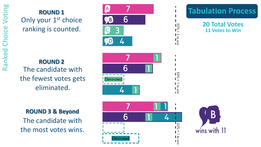## **ROUND 1** Only your 1<sup>st</sup> choice ranking is counted.



## **Tabulation Process**

 $\blacksquare$ 

 $\frac{1}{20\%}$  + 1 to  $\frac{1}{20\%}$ 

 $\frac{1}{20\%}$  =  $\frac{1}{20\%}$ 

**20 Total Votes 11 Votes to Win**

**ROUND 2** The candidate with the fewest votes gets eliminated.



## **ROUND 3 & Beyond**

The candidate with the most votes wins.



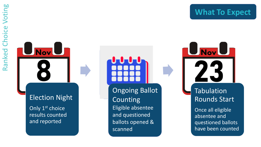Tabulation

**UNovU** 

Rounds Start

Once all eligible

questioned ballots

have been counted

absentee and

**UNovU** 

### Election Night

Only 1<sup>st</sup> choice results counted and reported

Ongoing Ballot **Counting** Eligible absentee and questioned ballots opened & scanned